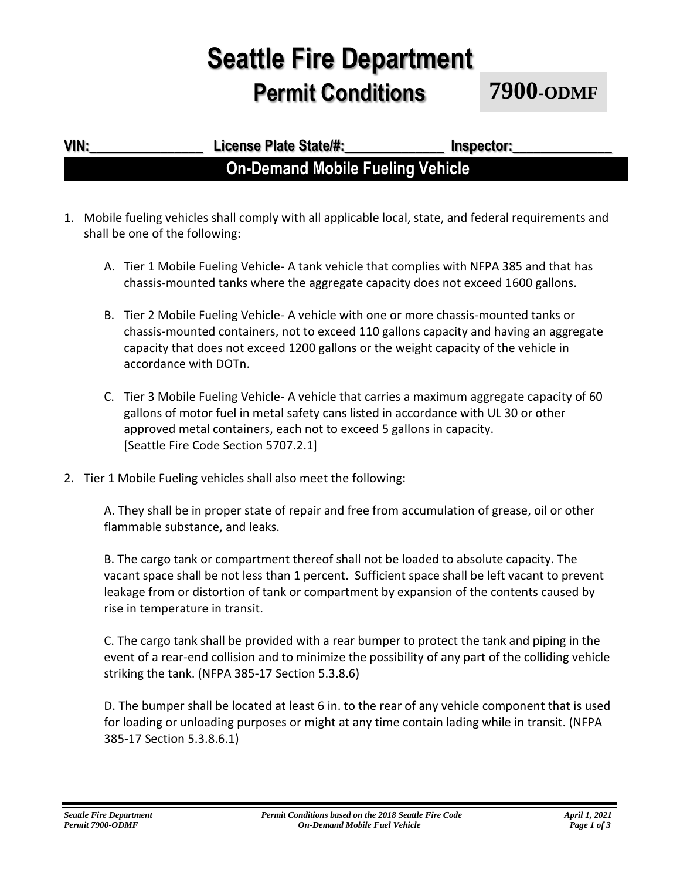## **Seattle Fire Department Permit Conditions**

**7900-ODMF**

### **VIN:\_\_\_\_\_\_\_\_\_\_\_\_\_\_\_\_ License Plate State/#:\_\_\_\_\_\_\_\_\_\_\_\_\_\_ Inspector:\_\_\_\_\_\_\_\_\_\_\_\_\_\_ On-Demand Mobile Fueling Vehicle**

- 1. Mobile fueling vehicles shall comply with all applicable local, state, and federal requirements and shall be one of the following:
	- A. Tier 1 Mobile Fueling Vehicle- A tank vehicle that complies with NFPA 385 and that has chassis-mounted tanks where the aggregate capacity does not exceed 1600 gallons.
	- B. Tier 2 Mobile Fueling Vehicle- A vehicle with one or more chassis-mounted tanks or chassis-mounted containers, not to exceed 110 gallons capacity and having an aggregate capacity that does not exceed 1200 gallons or the weight capacity of the vehicle in accordance with DOTn.
	- C. Tier 3 Mobile Fueling Vehicle- A vehicle that carries a maximum aggregate capacity of 60 gallons of motor fuel in metal safety cans listed in accordance with UL 30 or other approved metal containers, each not to exceed 5 gallons in capacity. [Seattle Fire Code Section 5707.2.1]
- 2. Tier 1 Mobile Fueling vehicles shall also meet the following:

A. They shall be in proper state of repair and free from accumulation of grease, oil or other flammable substance, and leaks.

B. The cargo tank or compartment thereof shall not be loaded to absolute capacity. The vacant space shall be not less than 1 percent. Sufficient space shall be left vacant to prevent leakage from or distortion of tank or compartment by expansion of the contents caused by rise in temperature in transit.

C. The cargo tank shall be provided with a rear bumper to protect the tank and piping in the event of a rear-end collision and to minimize the possibility of any part of the colliding vehicle striking the tank. (NFPA 385-17 Section 5.3.8.6)

D. The bumper shall be located at least 6 in. to the rear of any vehicle component that is used for loading or unloading purposes or might at any time contain lading while in transit. (NFPA 385-17 Section 5.3.8.6.1)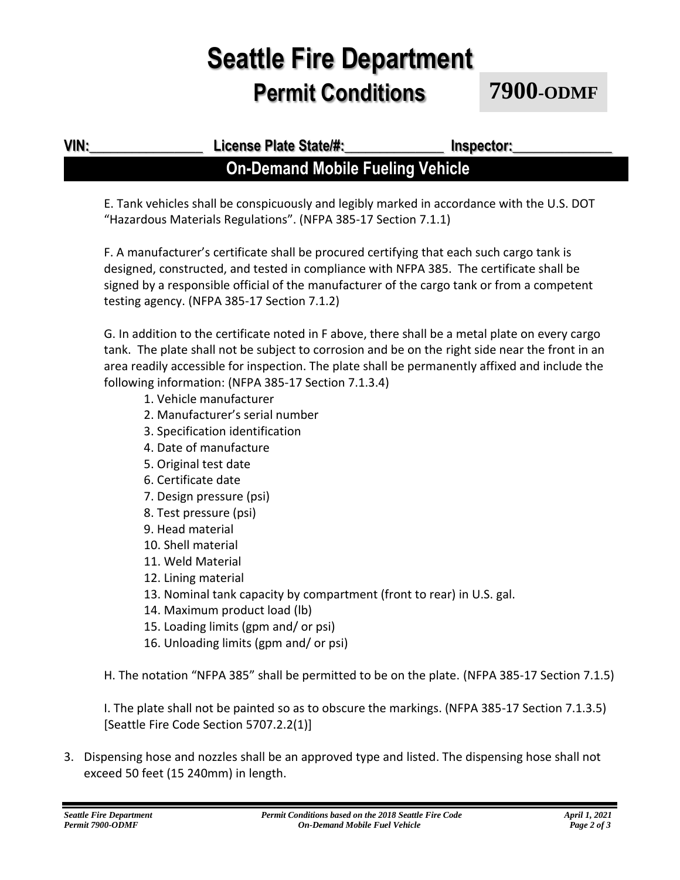## **Seattle Fire Department Permit Conditions**

**7900-ODMF**

**VIN:\_\_\_\_\_\_\_\_\_\_\_\_\_\_\_\_ License Plate State/#:\_\_\_\_\_\_\_\_\_\_\_\_\_\_ Inspector:\_\_\_\_\_\_\_\_\_\_\_\_\_\_** 

# E. Tank vehicles shall be conspicuously and legibly marked in accordance with the U.S. DOT

**On-Demand Mobile Fueling Vehicle**

"Hazardous Materials Regulations". (NFPA 385-17 Section 7.1.1)

F. A manufacturer's certificate shall be procured certifying that each such cargo tank is designed, constructed, and tested in compliance with NFPA 385. The certificate shall be signed by a responsible official of the manufacturer of the cargo tank or from a competent testing agency. (NFPA 385-17 Section 7.1.2)

G. In addition to the certificate noted in F above, there shall be a metal plate on every cargo tank. The plate shall not be subject to corrosion and be on the right side near the front in an area readily accessible for inspection. The plate shall be permanently affixed and include the following information: (NFPA 385-17 Section 7.1.3.4)

- 1. Vehicle manufacturer
- 2. Manufacturer's serial number
- 3. Specification identification
- 4. Date of manufacture
- 5. Original test date
- 6. Certificate date
- 7. Design pressure (psi)
- 8. Test pressure (psi)
- 9. Head material
- 10. Shell material
- 11. Weld Material
- 12. Lining material
- 13. Nominal tank capacity by compartment (front to rear) in U.S. gal.
- 14. Maximum product load (lb)
- 15. Loading limits (gpm and/ or psi)
- 16. Unloading limits (gpm and/ or psi)

H. The notation "NFPA 385" shall be permitted to be on the plate. (NFPA 385-17 Section 7.1.5)

I. The plate shall not be painted so as to obscure the markings. (NFPA 385-17 Section 7.1.3.5) [Seattle Fire Code Section 5707.2.2(1)]

3. Dispensing hose and nozzles shall be an approved type and listed. The dispensing hose shall not exceed 50 feet (15 240mm) in length.